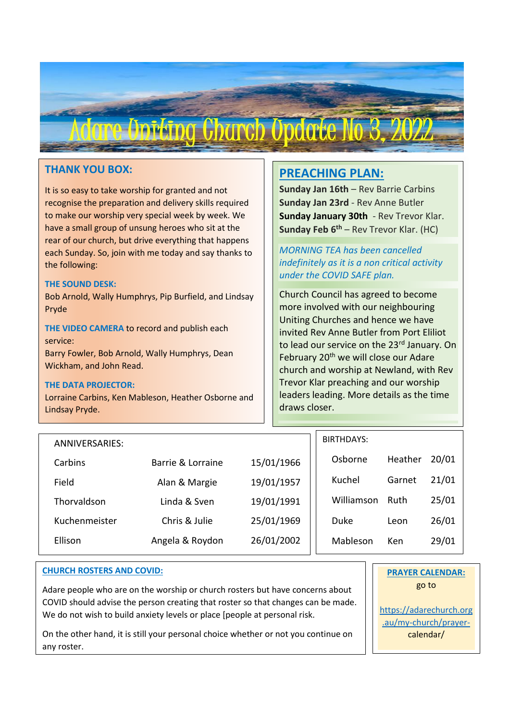

## **THANK YOU BOX:**

It is so easy to take worship for granted and not recognise the preparation and delivery skills required to make our worship very special week by week. We have a small group of unsung heroes who sit at the rear of our church, but drive everything that happens each Sunday. So, join with me today and say thanks to the following:

#### **THE SOUND DESK:**

Bob Arnold, Wally Humphrys, Pip Burfield, and Lindsay Pryde

**THE VIDEO CAMERA** to record and publish each service: Barry Fowler, Bob Arnold, Wally Humphrys, Dean Wickham, and John Read.

#### **THE DATA PROJECTOR:**

Lorraine Carbins, Ken Mableson, Heather Osborne and Lindsay Pryde.

## **PREACHING PLAN:**

**Sunday Jan 16th** – Rev Barrie Carbins **Sunday Jan 23rd** - Rev Anne Butler **Sunday January 30th** - Rev Trevor Klar. **Sunday Feb 6th** – Rev Trevor Klar. (HC)

*MORNING TEA has been cancelled indefinitely as it is a non critical activity under the COVID SAFE plan.*

Church Council has agreed to become more involved with our neighbouring Uniting Churches and hence we have invited Rev Anne Butler from Port Eliliot to lead our service on the 23rd January. On February 20<sup>th</sup> we will close our Adare church and worship at Newland, with Rev Trevor Klar preaching and our worship leaders leading. More details as the time draws closer.

| ANNIVERSARIES: |                   |            | <b>BIRTHDAYS:</b> |         |       |
|----------------|-------------------|------------|-------------------|---------|-------|
| Carbins        | Barrie & Lorraine | 15/01/1966 | Osborne           | Heather | 20/01 |
| Field          | Alan & Margie     | 19/01/1957 | Kuchel            | Garnet  | 21/01 |
| Thorvaldson    | Linda & Sven      | 19/01/1991 | Williamson        | Ruth    | 25/01 |
| Kuchenmeister  | Chris & Julie     | 25/01/1969 | Duke              | Leon    | 26/01 |
| Ellison        | Angela & Roydon   | 26/01/2002 | Mableson          | Ken     | 29/01 |
|                |                   |            |                   |         |       |

#### **CHURCH ROSTERS AND COVID:**

Adare people who are on the worship or church rosters but have concerns about COVID should advise the person creating that roster so that changes can be made. We do not wish to build anxiety levels or place [people at personal risk.

On the other hand, it is still your personal choice whether or not you continue on any roster.

### **PRAYER CALENDAR:** go to

[https://adarechurch.org](https://adarechurch.org.au/my-church/prayer-) [.au/my-church/prayer](https://adarechurch.org.au/my-church/prayer-)calendar/